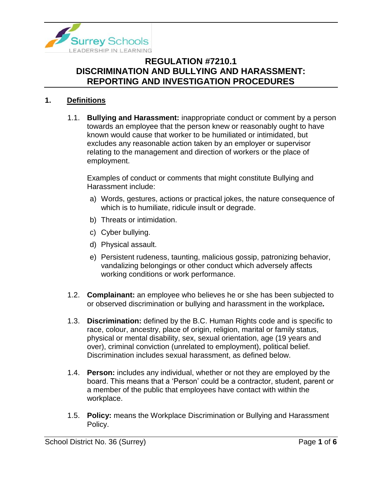

### **1. Definitions**

1.1. **Bullying and Harassment:** inappropriate conduct or comment by a person towards an employee that the person knew or reasonably ought to have known would cause that worker to be humiliated or intimidated, but excludes any reasonable action taken by an employer or supervisor relating to the management and direction of workers or the place of employment.

Examples of conduct or comments that might constitute Bullying and Harassment include:

- a) Words, gestures, actions or practical jokes, the nature consequence of which is to humiliate, ridicule insult or degrade.
- b) Threats or intimidation.
- c) Cyber bullying.
- d) Physical assault.
- e) Persistent rudeness, taunting, malicious gossip, patronizing behavior, vandalizing belongings or other conduct which adversely affects working conditions or work performance.
- 1.2. **Complainant:** an employee who believes he or she has been subjected to or observed discrimination or bullying and harassment in the workplace*.*
- 1.3. **Discrimination:** defined by the B.C. Human Rights code and is specific to race, colour, ancestry, place of origin, religion, marital or family status, physical or mental disability, sex, sexual orientation, age (19 years and over), criminal conviction (unrelated to employment), political belief. Discrimination includes sexual harassment, as defined below.
- 1.4. **Person:** includes any individual, whether or not they are employed by the board. This means that a 'Person' could be a contractor, student, parent or a member of the public that employees have contact with within the workplace.
- 1.5. **Policy:** means the Workplace Discrimination or Bullying and Harassment Policy.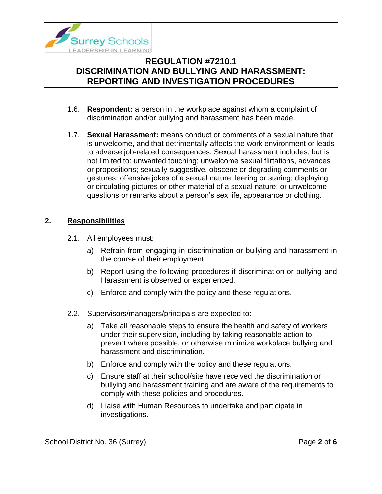

- 1.6. **Respondent:** a person in the workplace against whom a complaint of discrimination and/or bullying and harassment has been made.
- 1.7. **Sexual Harassment:** means conduct or comments of a sexual nature that is unwelcome, and that detrimentally affects the work environment or leads to adverse job-related consequences. Sexual harassment includes, but is not limited to: unwanted touching; unwelcome sexual flirtations, advances or propositions; sexually suggestive, obscene or degrading comments or gestures; offensive jokes of a sexual nature; leering or staring; displaying or circulating pictures or other material of a sexual nature; or unwelcome questions or remarks about a person's sex life, appearance or clothing.

### **2. Responsibilities**

- 2.1. All employees must:
	- a) Refrain from engaging in discrimination or bullying and harassment in the course of their employment.
	- b) Report using the following procedures if discrimination or bullying and Harassment is observed or experienced.
	- c) Enforce and comply with the policy and these regulations.
- 2.2. Supervisors/managers/principals are expected to:
	- a) Take all reasonable steps to ensure the health and safety of workers under their supervision, including by taking reasonable action to prevent where possible, or otherwise minimize workplace bullying and harassment and discrimination.
	- b) Enforce and comply with the policy and these regulations.
	- c) Ensure staff at their school/site have received the discrimination or bullying and harassment training and are aware of the requirements to comply with these policies and procedures.
	- d) Liaise with Human Resources to undertake and participate in investigations.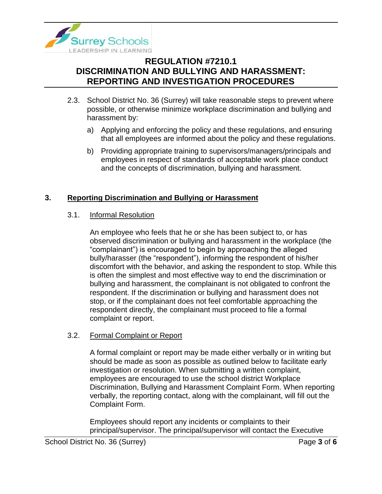

- 2.3. School District No. 36 (Surrey) will take reasonable steps to prevent where possible, or otherwise minimize workplace discrimination and bullying and harassment by:
	- a) Applying and enforcing the policy and these regulations, and ensuring that all employees are informed about the policy and these regulations.
	- b) Providing appropriate training to supervisors/managers/principals and employees in respect of standards of acceptable work place conduct and the concepts of discrimination, bullying and harassment.

## **3. Reporting Discrimination and Bullying or Harassment**

#### 3.1. Informal Resolution

An employee who feels that he or she has been subject to, or has observed discrimination or bullying and harassment in the workplace (the "complainant") is encouraged to begin by approaching the alleged bully/harasser (the "respondent"), informing the respondent of his/her discomfort with the behavior, and asking the respondent to stop. While this is often the simplest and most effective way to end the discrimination or bullying and harassment, the complainant is not obligated to confront the respondent. If the discrimination or bullying and harassment does not stop, or if the complainant does not feel comfortable approaching the respondent directly, the complainant must proceed to file a formal complaint or report.

#### 3.2. Formal Complaint or Report

A formal complaint or report may be made either verbally or in writing but should be made as soon as possible as outlined below to facilitate early investigation or resolution. When submitting a written complaint, employees are encouraged to use the school district Workplace Discrimination, Bullying and Harassment Complaint Form. When reporting verbally, the reporting contact, along with the complainant, will fill out the Complaint Form.

Employees should report any incidents or complaints to their principal/supervisor. The principal/supervisor will contact the Executive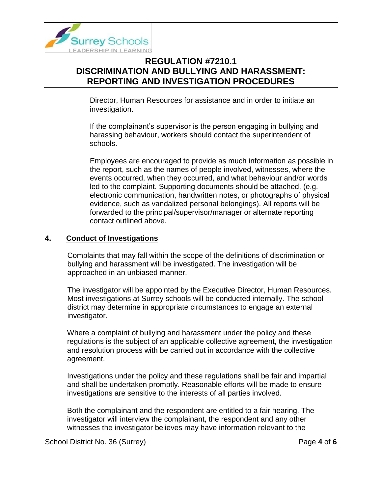

Director, Human Resources for assistance and in order to initiate an investigation.

If the complainant's supervisor is the person engaging in bullying and harassing behaviour, workers should contact the superintendent of schools.

Employees are encouraged to provide as much information as possible in the report, such as the names of people involved, witnesses, where the events occurred, when they occurred, and what behaviour and/or words led to the complaint. Supporting documents should be attached, (e.g. electronic communication, handwritten notes, or photographs of physical evidence, such as vandalized personal belongings). All reports will be forwarded to the principal/supervisor/manager or alternate reporting contact outlined above.

#### **4. Conduct of Investigations**

Complaints that may fall within the scope of the definitions of discrimination or bullying and harassment will be investigated. The investigation will be approached in an unbiased manner.

The investigator will be appointed by the Executive Director, Human Resources. Most investigations at Surrey schools will be conducted internally. The school district may determine in appropriate circumstances to engage an external investigator.

Where a complaint of bullying and harassment under the policy and these regulations is the subject of an applicable collective agreement, the investigation and resolution process with be carried out in accordance with the collective agreement.

Investigations under the policy and these regulations shall be fair and impartial and shall be undertaken promptly. Reasonable efforts will be made to ensure investigations are sensitive to the interests of all parties involved.

Both the complainant and the respondent are entitled to a fair hearing. The investigator will interview the complainant, the respondent and any other witnesses the investigator believes may have information relevant to the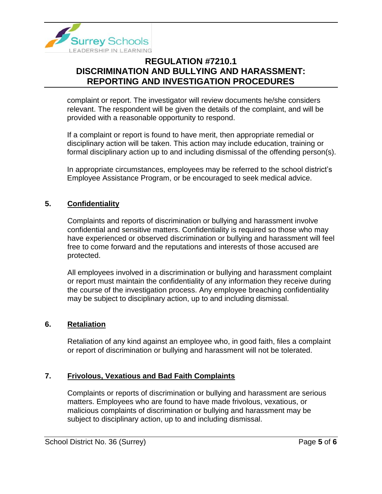

complaint or report. The investigator will review documents he/she considers relevant. The respondent will be given the details of the complaint, and will be provided with a reasonable opportunity to respond.

If a complaint or report is found to have merit, then appropriate remedial or disciplinary action will be taken. This action may include education, training or formal disciplinary action up to and including dismissal of the offending person(s).

In appropriate circumstances, employees may be referred to the school district's Employee Assistance Program, or be encouraged to seek medical advice.

## **5. Confidentiality**

Complaints and reports of discrimination or bullying and harassment involve confidential and sensitive matters. Confidentiality is required so those who may have experienced or observed discrimination or bullying and harassment will feel free to come forward and the reputations and interests of those accused are protected.

All employees involved in a discrimination or bullying and harassment complaint or report must maintain the confidentiality of any information they receive during the course of the investigation process. Any employee breaching confidentiality may be subject to disciplinary action, up to and including dismissal.

### **6. Retaliation**

Retaliation of any kind against an employee who, in good faith, files a complaint or report of discrimination or bullying and harassment will not be tolerated.

### **7. Frivolous, Vexatious and Bad Faith Complaints**

Complaints or reports of discrimination or bullying and harassment are serious matters. Employees who are found to have made frivolous, vexatious, or malicious complaints of discrimination or bullying and harassment may be subject to disciplinary action, up to and including dismissal.